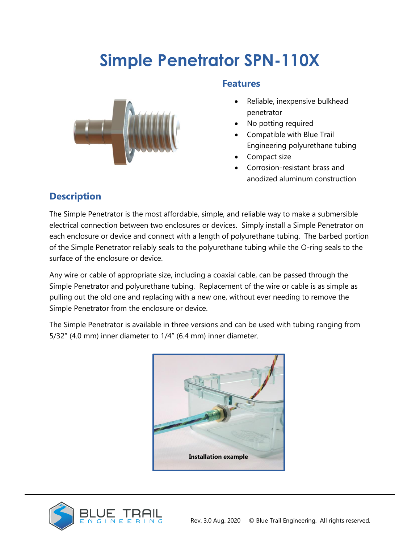# **Simple Penetrator SPN-110X**



#### **Features**

- Reliable, inexpensive bulkhead penetrator
- No potting required
- Compatible with Blue Trail Engineering polyurethane tubing
- Compact size
- Corrosion-resistant brass and anodized aluminum construction

## **Description**

The Simple Penetrator is the most affordable, simple, and reliable way to make a submersible electrical connection between two enclosures or devices. Simply install a Simple Penetrator on each enclosure or device and connect with a length of polyurethane tubing. The barbed portion of the Simple Penetrator reliably seals to the polyurethane tubing while the O-ring seals to the surface of the enclosure or device.

Any wire or cable of appropriate size, including a coaxial cable, can be passed through the Simple Penetrator and polyurethane tubing. Replacement of the wire or cable is as simple as pulling out the old one and replacing with a new one, without ever needing to remove the Simple Penetrator from the enclosure or device.

The Simple Penetrator is available in three versions and can be used with tubing ranging from 5/32" (4.0 mm) inner diameter to 1/4" (6.4 mm) inner diameter.